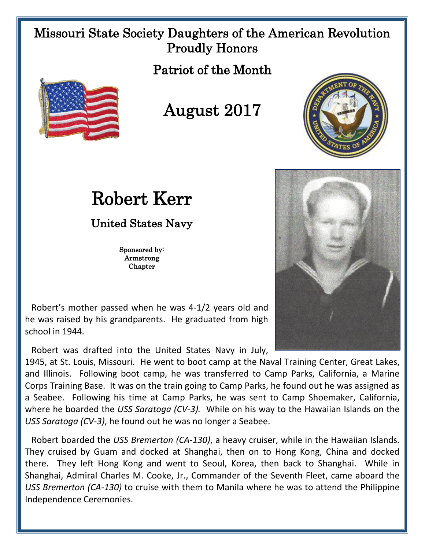## Missouri State Society Daughters of the American Revolution Proudly Honors

Patriot of the Month



## August 2017



## Robert Kerr

United States Navy

Sponsored by: Armstrong Chapter

 Robert's mother passed when he was 4-1/2 years old and he was raised by his grandparents. He graduated from high school in 1944.

Robert was drafted into the United States Navy in July,

1945, at St. Louis, Missouri. He went to boot camp at the Naval Training Center, Great Lakes, and Illinois. Following boot camp, he was transferred to Camp Parks, California, a Marine Corps Training Base. It was on the train going to Camp Parks, he found out he was assigned as a Seabee. Following his time at Camp Parks, he was sent to Camp Shoemaker, California, where he boarded the *USS Saratoga (CV-3).* While on his way to the Hawaiian Islands on the *USS Saratoga (CV-3)*, he found out he was no longer a Seabee.

 Robert boarded the *USS Bremerton (CA-130)*, a heavy cruiser, while in the Hawaiian Islands. They cruised by Guam and docked at Shanghai, then on to Hong Kong, China and docked there. They left Hong Kong and went to Seoul, Korea, then back to Shanghai. While in Shanghai, Admiral Charles M. Cooke, Jr., Commander of the Seventh Fleet, came aboard the *USS Bremerton (CA-130)* to cruise with them to Manila where he was to attend the Philippine Independence Ceremonies.